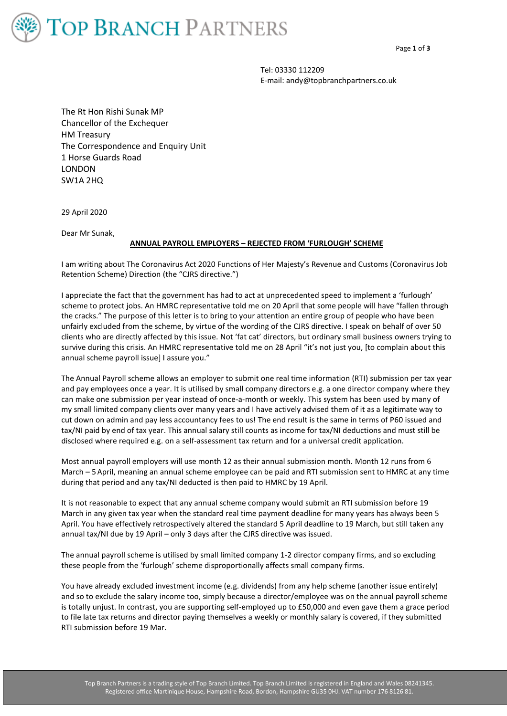

Tel: 03330 112209 E-mail: andy@topbranchpartners.co.uk

The Rt Hon Rishi Sunak MP Chancellor of the Exchequer HM Treasury The Correspondence and Enquiry Unit 1 Horse Guards Road LONDON SW1A 2HQ

29 April 2020

Dear Mr Sunak,

## **ANNUAL PAYROLL EMPLOYERS – REJECTED FROM 'FURLOUGH' SCHEME**

I am writing about The Coronavirus Act 2020 Functions of Her Majesty's Revenue and Customs (Coronavirus Job Retention Scheme) Direction (the "CJRS directive.")

I appreciate the fact that the government has had to act at unprecedented speed to implement a 'furlough' scheme to protect jobs. An HMRC representative told me on 20 April that some people will have "fallen through the cracks." The purpose of this letter is to bring to your attention an entire group of people who have been unfairly excluded from the scheme, by virtue of the wording of the CJRS directive. I speak on behalf of over 50 clients who are directly affected by this issue. Not 'fat cat' directors, but ordinary small business owners trying to survive during this crisis. An HMRC representative told me on 28 April "it's not just you, [to complain about this annual scheme payroll issue] I assure you."

The Annual Payroll scheme allows an employer to submit one real time information (RTI) submission per tax year and pay employees once a year. It is utilised by small company directors e.g. a one director company where they can make one submission per year instead of once-a-month or weekly. This system has been used by many of my small limited company clients over many years and I have actively advised them of it as a legitimate way to cut down on admin and pay less accountancy fees to us! The end result is the same in terms of P60 issued and tax/NI paid by end of tax year. This annual salary still counts as income for tax/NI deductions and must still be disclosed where required e.g. on a self-assessment tax return and for a universal credit application.

Most annual payroll employers will use month 12 as their annual submission month. Month 12 runs from 6 March – 5April, meaning an annual scheme employee can be paid and RTI submission sent to HMRC at any time during that period and any tax/NI deducted is then paid to HMRC by 19 April.

It is not reasonable to expect that any annual scheme company would submit an RTI submission before 19 March in any given tax year when the standard real time payment deadline for many years has always been 5 April. You have effectively retrospectively altered the standard 5 April deadline to 19 March, but still taken any annual tax/NI due by 19 April – only 3 days after the CJRS directive was issued.

The annual payroll scheme is utilised by small limited company 1-2 director company firms, and so excluding these people from the 'furlough' scheme disproportionally affects small company firms.

You have already excluded investment income (e.g. dividends) from any help scheme (another issue entirely) and so to exclude the salary income too, simply because a director/employee was on the annual payroll scheme is totally unjust. In contrast, you are supporting self-employed up to £50,000 and even gave them a grace period to file late tax returns and director paying themselves a weekly or monthly salary is covered, if they submitted RTI submission before 19 Mar.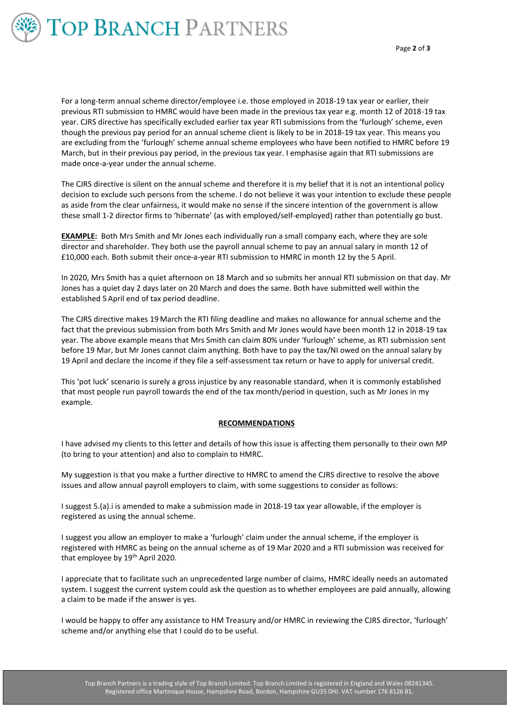

For a long-term annual scheme director/employee i.e. those employed in 2018-19 tax year or earlier, their previous RTI submission to HMRC would have been made in the previous tax year e.g. month 12 of 2018-19 tax year. CJRS directive has specifically excluded earlier tax year RTI submissions from the 'furlough' scheme, even though the previous pay period for an annual scheme client is likely to be in 2018-19 tax year. This means you are excluding from the 'furlough' scheme annual scheme employees who have been notified to HMRC before 19 March, but in their previous pay period, in the previous tax year. I emphasise again that RTI submissions are made once-a-year under the annual scheme.

The CJRS directive is silent on the annual scheme and therefore it is my belief that it is not an intentional policy decision to exclude such persons from the scheme. I do not believe it was your intention to exclude these people as aside from the clear unfairness, it would make no sense if the sincere intention of the government is allow these small 1-2 director firms to 'hibernate' (as with employed/self-employed) rather than potentially go bust.

**EXAMPLE:** Both Mrs Smith and Mr Jones each individually run a small company each, where they are sole director and shareholder. They both use the payroll annual scheme to pay an annual salary in month 12 of £10,000 each. Both submit their once-a-year RTI submission to HMRC in month 12 by the 5 April.

In 2020, Mrs Smith has a quiet afternoon on 18 March and so submits her annual RTI submission on that day. Mr Jones has a quiet day 2 days later on 20 March and does the same. Both have submitted well within the established 5April end of tax period deadline.

The CJRS directive makes 19 March the RTI filing deadline and makes no allowance for annual scheme and the fact that the previous submission from both Mrs Smith and Mr Jones would have been month 12 in 2018-19 tax year. The above example means that Mrs Smith can claim 80% under 'furlough' scheme, as RTI submission sent before 19 Mar, but Mr Jones cannot claim anything. Both have to pay the tax/NI owed on the annual salary by 19 April and declare the income if they file a self-assessment tax return or have to apply for universal credit.

This 'pot luck' scenario is surely a gross injustice by any reasonable standard, when it is commonly established that most people run payroll towards the end of the tax month/period in question, such as Mr Jones in my example.

## **RECOMMENDATIONS**

I have advised my clients to this letter and details of how this issue is affecting them personally to their own MP (to bring to your attention) and also to complain to HMRC.

My suggestion is that you make a further directive to HMRC to amend the CJRS directive to resolve the above issues and allow annual payroll employers to claim, with some suggestions to consider as follows:

I suggest 5.(a).i is amended to make a submission made in 2018-19 tax year allowable, if the employer is registered as using the annual scheme.

I suggest you allow an employer to make a 'furlough' claim under the annual scheme, if the employer is registered with HMRC as being on the annual scheme as of 19 Mar 2020 and a RTI submission was received for that employee by 19<sup>th</sup> April 2020.

I appreciate that to facilitate such an unprecedented large number of claims, HMRC ideally needs an automated system. I suggest the current system could ask the question as to whether employees are paid annually, allowing a claim to be made if the answer is yes.

I would be happy to offer any assistance to HM Treasury and/or HMRC in reviewing the CJRS director, 'furlough' scheme and/or anything else that I could do to be useful.